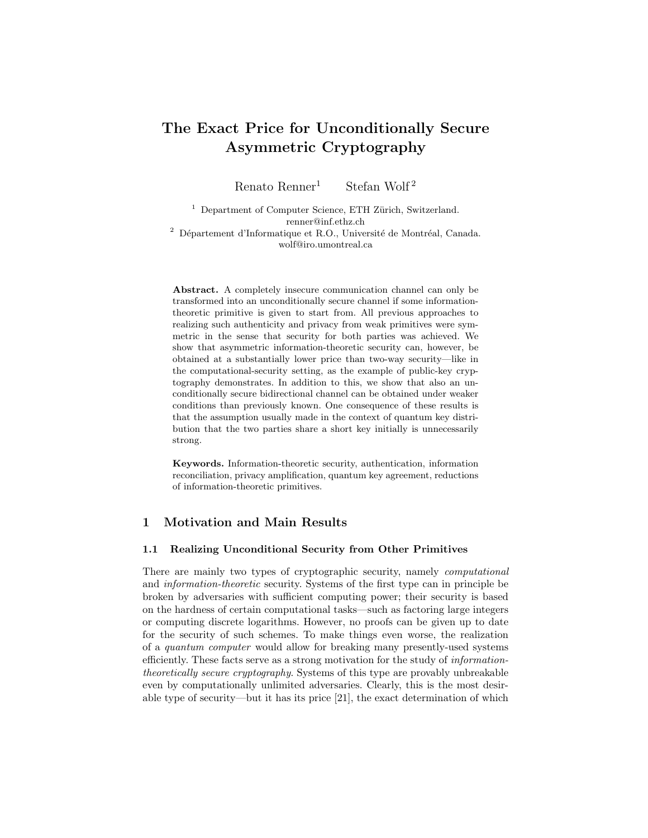# The Exact Price for Unconditionally Secure Asymmetric Cryptography

Renato Renner<sup>1</sup> Stefan Wolf<sup>2</sup>

 $^{\rm 1}$  Department of Computer Science, ETH Zürich, Switzerland. renner@inf.ethz.ch  $2$  Département d'Informatique et R.O., Université de Montréal, Canada. wolf@iro.umontreal.ca

Abstract. A completely insecure communication channel can only be transformed into an unconditionally secure channel if some informationtheoretic primitive is given to start from. All previous approaches to realizing such authenticity and privacy from weak primitives were symmetric in the sense that security for both parties was achieved. We show that asymmetric information-theoretic security can, however, be obtained at a substantially lower price than two-way security—like in the computational-security setting, as the example of public-key cryptography demonstrates. In addition to this, we show that also an unconditionally secure bidirectional channel can be obtained under weaker conditions than previously known. One consequence of these results is that the assumption usually made in the context of quantum key distribution that the two parties share a short key initially is unnecessarily strong.

Keywords. Information-theoretic security, authentication, information reconciliation, privacy amplification, quantum key agreement, reductions of information-theoretic primitives.

# 1 Motivation and Main Results

#### 1.1 Realizing Unconditional Security from Other Primitives

There are mainly two types of cryptographic security, namely computational and information-theoretic security. Systems of the first type can in principle be broken by adversaries with sufficient computing power; their security is based on the hardness of certain computational tasks—such as factoring large integers or computing discrete logarithms. However, no proofs can be given up to date for the security of such schemes. To make things even worse, the realization of a quantum computer would allow for breaking many presently-used systems efficiently. These facts serve as a strong motivation for the study of informationtheoretically secure cryptography. Systems of this type are provably unbreakable even by computationally unlimited adversaries. Clearly, this is the most desirable type of security—but it has its price [21], the exact determination of which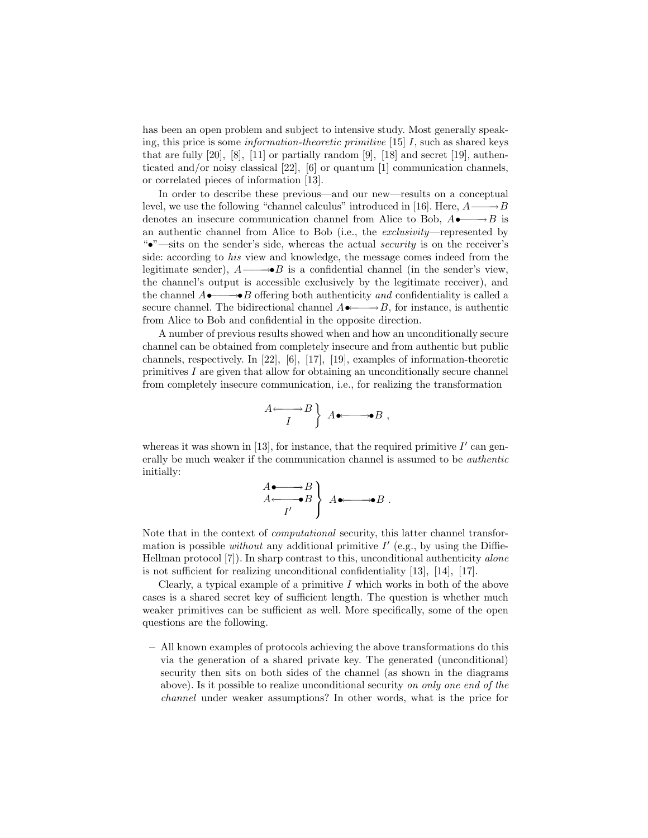has been an open problem and subject to intensive study. Most generally speaking, this price is some *information-theoretic primitive* [15]  $I$ , such as shared keys that are fully  $[20]$ ,  $[8]$ ,  $[11]$  or partially random  $[9]$ ,  $[18]$  and secret  $[19]$ , authenticated and/or noisy classical [22], [6] or quantum [1] communication channels, or correlated pieces of information [13].

In order to describe these previous—and our new—results on a conceptual level, we use the following "channel calculus" introduced in [16]. Here,  $A \longrightarrow B$ denotes an insecure communication channel from Alice to Bob,  $A \rightarrow B$  is an authentic channel from Alice to Bob (i.e., the exclusivity—represented by "•"—sits on the sender's side, whereas the actual security is on the receiver's side: according to his view and knowledge, the message comes indeed from the legitimate sender),  $A \longrightarrow B$  is a confidential channel (in the sender's view, the channel's output is accessible exclusively by the legitimate receiver), and the channel  $A \rightarrow \rightarrow B$  offering both authenticity and confidentiality is called a secure channel. The bidirectional channel  $A \rightarrow B$ , for instance, is authentic from Alice to Bob and confidential in the opposite direction.

A number of previous results showed when and how an unconditionally secure channel can be obtained from completely insecure and from authentic but public channels, respectively. In [22], [6], [17], [19], examples of information-theoretic primitives I are given that allow for obtaining an unconditionally secure channel from completely insecure communication, i.e., for realizing the transformation

$$
\begin{array}{c}\nA \longleftarrow B \\
I\n\end{array}\n\Big\} A \bullet \longrightarrow B ,
$$

whereas it was shown in [13], for instance, that the required primitive  $I'$  can generally be much weaker if the communication channel is assumed to be authentic initially:

$$
\begin{array}{c}\nA \bullet \longrightarrow B \\
A \longleftarrow \bullet B \\
I'\n\end{array}\n\Big\} A \bullet \longrightarrow \bullet B .
$$

Note that in the context of computational security, this latter channel transformation is possible without any additional primitive  $I'$  (e.g., by using the Diffie-Hellman protocol [7]). In sharp contrast to this, unconditional authenticity alone is not sufficient for realizing unconditional confidentiality [13], [14], [17].

Clearly, a typical example of a primitive  $I$  which works in both of the above cases is a shared secret key of sufficient length. The question is whether much weaker primitives can be sufficient as well. More specifically, some of the open questions are the following.

– All known examples of protocols achieving the above transformations do this via the generation of a shared private key. The generated (unconditional) security then sits on both sides of the channel (as shown in the diagrams above). Is it possible to realize unconditional security on only one end of the channel under weaker assumptions? In other words, what is the price for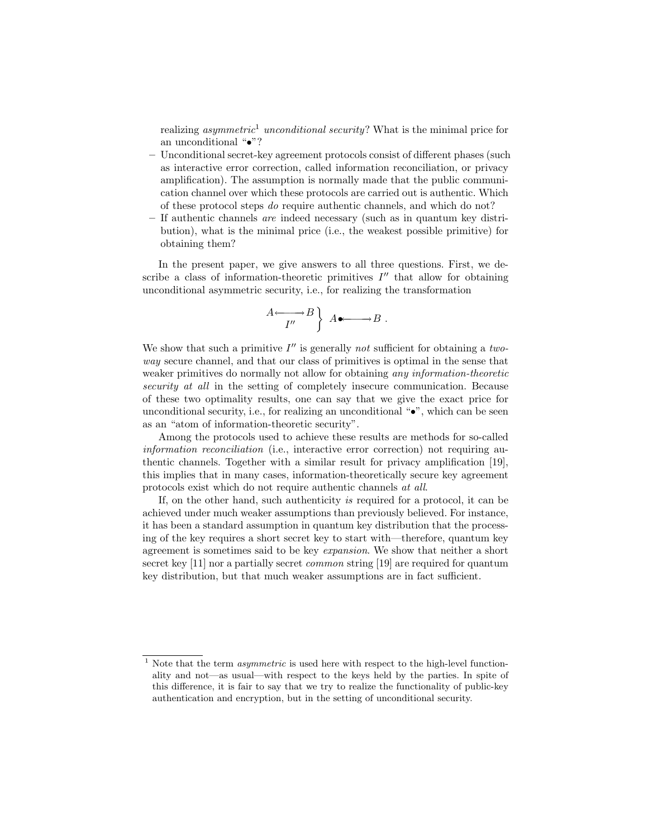realizing *asymmetric*<sup>1</sup> unconditional security? What is the minimal price for an unconditional "•"?

- Unconditional secret-key agreement protocols consist of different phases (such as interactive error correction, called information reconciliation, or privacy amplification). The assumption is normally made that the public communication channel over which these protocols are carried out is authentic. Which of these protocol steps do require authentic channels, and which do not?
- If authentic channels are indeed necessary (such as in quantum key distribution), what is the minimal price (i.e., the weakest possible primitive) for obtaining them?

In the present paper, we give answers to all three questions. First, we describe a class of information-theoretic primitives  $I''$  that allow for obtaining unconditional asymmetric security, i.e., for realizing the transformation

$$
\begin{array}{c}\nA \longleftarrow \longrightarrow B \\
I''\n\end{array}\n\Big\} A \bullet \longrightarrow B .
$$

We show that such a primitive  $I''$  is generally not sufficient for obtaining a twoway secure channel, and that our class of primitives is optimal in the sense that weaker primitives do normally not allow for obtaining any information-theoretic security at all in the setting of completely insecure communication. Because of these two optimality results, one can say that we give the exact price for unconditional security, i.e., for realizing an unconditional " $\bullet$ ", which can be seen as an "atom of information-theoretic security".

Among the protocols used to achieve these results are methods for so-called information reconciliation (i.e., interactive error correction) not requiring authentic channels. Together with a similar result for privacy amplification [19], this implies that in many cases, information-theoretically secure key agreement protocols exist which do not require authentic channels at all.

If, on the other hand, such authenticity is required for a protocol, it can be achieved under much weaker assumptions than previously believed. For instance, it has been a standard assumption in quantum key distribution that the processing of the key requires a short secret key to start with—therefore, quantum key agreement is sometimes said to be key expansion. We show that neither a short secret key [11] nor a partially secret *common* string [19] are required for quantum key distribution, but that much weaker assumptions are in fact sufficient.

 $1$  Note that the term *asymmetric* is used here with respect to the high-level functionality and not—as usual—with respect to the keys held by the parties. In spite of this difference, it is fair to say that we try to realize the functionality of public-key authentication and encryption, but in the setting of unconditional security.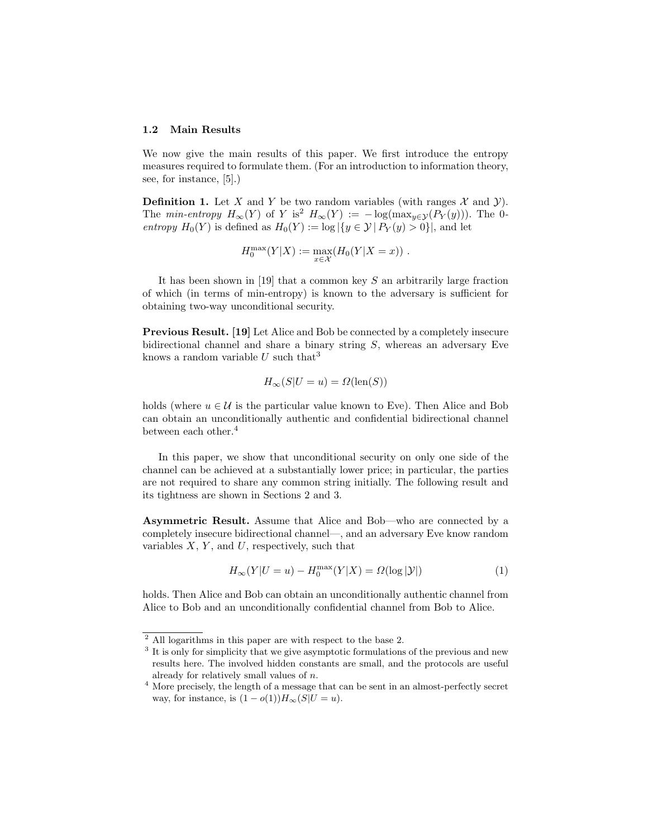#### 1.2 Main Results

We now give the main results of this paper. We first introduce the entropy measures required to formulate them. (For an introduction to information theory, see, for instance, [5].)

**Definition 1.** Let X and Y be two random variables (with ranges  $\mathcal{X}$  and  $\mathcal{Y}$ ). The min-entropy  $H_{\infty}(Y)$  of Y is<sup>2</sup>  $H_{\infty}(Y) := -\log(\max_{y \in Y}(P_Y(y)))$ . The 0entropy  $H_0(Y)$  is defined as  $H_0(Y) := \log |\{y \in \mathcal{Y} | P_Y(y) > 0\}|$ , and let

$$
H_0^{\max}(Y|X) := \max_{x \in \mathcal{X}} (H_0(Y|X=x)).
$$

It has been shown in [19] that a common key  $S$  an arbitrarily large fraction of which (in terms of min-entropy) is known to the adversary is sufficient for obtaining two-way unconditional security.

Previous Result. [19] Let Alice and Bob be connected by a completely insecure bidirectional channel and share a binary string S, whereas an adversary Eve knows a random variable U such that<sup>3</sup>

$$
H_{\infty}(S|U=u) = \Omega(\text{len}(S))
$$

holds (where  $u \in \mathcal{U}$  is the particular value known to Eve). Then Alice and Bob can obtain an unconditionally authentic and confidential bidirectional channel between each other.<sup>4</sup>

In this paper, we show that unconditional security on only one side of the channel can be achieved at a substantially lower price; in particular, the parties are not required to share any common string initially. The following result and its tightness are shown in Sections 2 and 3.

Asymmetric Result. Assume that Alice and Bob—who are connected by a completely insecure bidirectional channel—, and an adversary Eve know random variables  $X, Y$ , and  $U$ , respectively, such that

$$
H_{\infty}(Y|U=u) - H_0^{\max}(Y|X) = \Omega(\log |\mathcal{Y}|)
$$
\n(1)

holds. Then Alice and Bob can obtain an unconditionally authentic channel from Alice to Bob and an unconditionally confidential channel from Bob to Alice.

<sup>2</sup> All logarithms in this paper are with respect to the base 2.

<sup>&</sup>lt;sup>3</sup> It is only for simplicity that we give asymptotic formulations of the previous and new results here. The involved hidden constants are small, and the protocols are useful already for relatively small values of n.

 $^4$  More precisely, the length of a message that can be sent in an almost-perfectly secret way, for instance, is  $(1 - o(1))H_\infty(S|U = u)$ .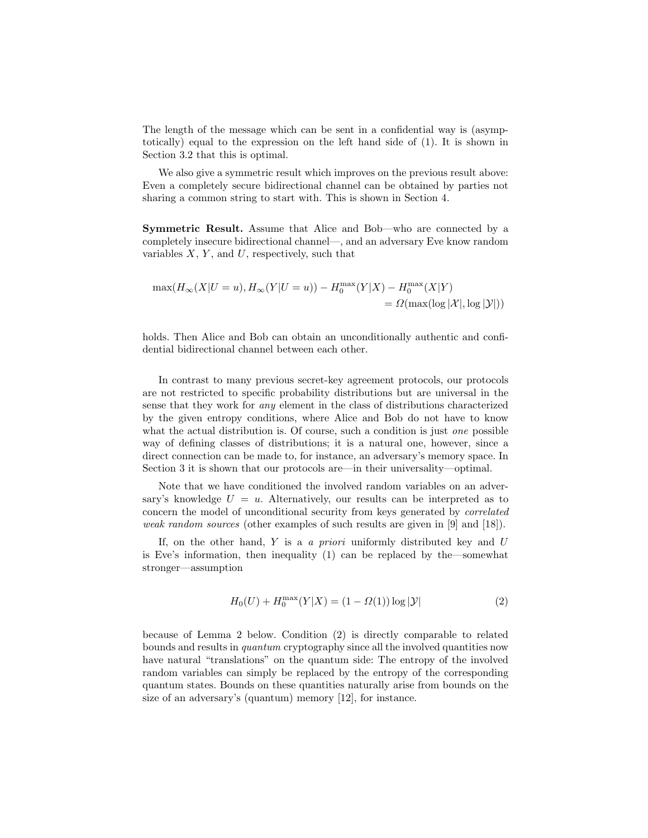The length of the message which can be sent in a confidential way is (asymptotically) equal to the expression on the left hand side of (1). It is shown in Section 3.2 that this is optimal.

We also give a symmetric result which improves on the previous result above: Even a completely secure bidirectional channel can be obtained by parties not sharing a common string to start with. This is shown in Section 4.

Symmetric Result. Assume that Alice and Bob—who are connected by a completely insecure bidirectional channel—, and an adversary Eve know random variables  $X, Y$ , and  $U$ , respectively, such that

$$
\max(H_{\infty}(X|U=u), H_{\infty}(Y|U=u)) - H_0^{\max}(Y|X) - H_0^{\max}(X|Y)
$$
  
=  $\Omega(\max(\log |\mathcal{X}|, \log |\mathcal{Y}|))$ 

holds. Then Alice and Bob can obtain an unconditionally authentic and confidential bidirectional channel between each other.

In contrast to many previous secret-key agreement protocols, our protocols are not restricted to specific probability distributions but are universal in the sense that they work for any element in the class of distributions characterized by the given entropy conditions, where Alice and Bob do not have to know what the actual distribution is. Of course, such a condition is just *one* possible way of defining classes of distributions; it is a natural one, however, since a direct connection can be made to, for instance, an adversary's memory space. In Section 3 it is shown that our protocols are—in their universality—optimal.

Note that we have conditioned the involved random variables on an adversary's knowledge  $U = u$ . Alternatively, our results can be interpreted as to concern the model of unconditional security from keys generated by correlated weak random sources (other examples of such results are given in [9] and [18]).

If, on the other hand,  $Y$  is a a priori uniformly distributed key and  $U$ is Eve's information, then inequality (1) can be replaced by the—somewhat stronger—assumption

$$
H_0(U) + H_0^{\max}(Y|X) = (1 - \Omega(1))\log|\mathcal{Y}|
$$
 (2)

because of Lemma 2 below. Condition (2) is directly comparable to related bounds and results in quantum cryptography since all the involved quantities now have natural "translations" on the quantum side: The entropy of the involved random variables can simply be replaced by the entropy of the corresponding quantum states. Bounds on these quantities naturally arise from bounds on the size of an adversary's (quantum) memory [12], for instance.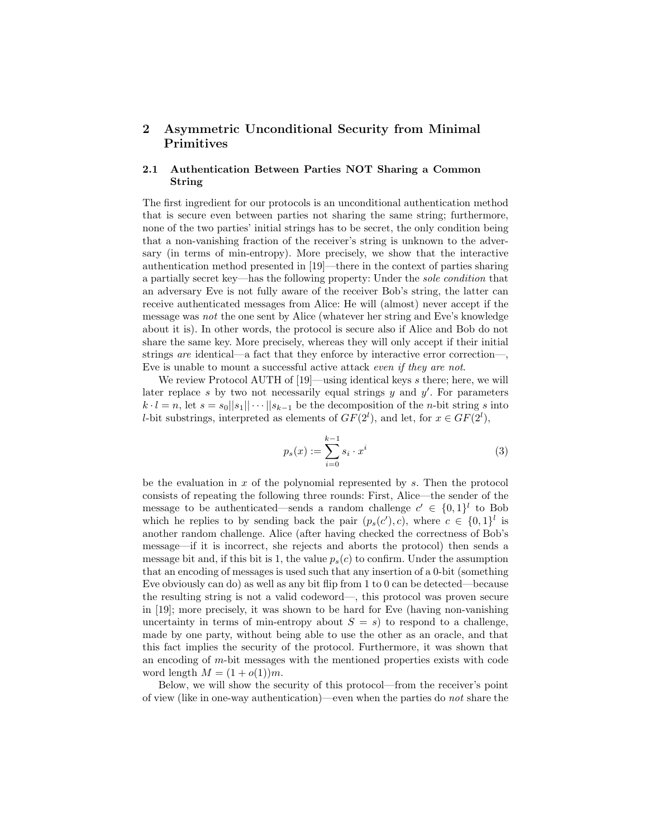# 2 Asymmetric Unconditional Security from Minimal Primitives

### 2.1 Authentication Between Parties NOT Sharing a Common String

The first ingredient for our protocols is an unconditional authentication method that is secure even between parties not sharing the same string; furthermore, none of the two parties' initial strings has to be secret, the only condition being that a non-vanishing fraction of the receiver's string is unknown to the adversary (in terms of min-entropy). More precisely, we show that the interactive authentication method presented in [19]—there in the context of parties sharing a partially secret key—has the following property: Under the sole condition that an adversary Eve is not fully aware of the receiver Bob's string, the latter can receive authenticated messages from Alice: He will (almost) never accept if the message was not the one sent by Alice (whatever her string and Eve's knowledge about it is). In other words, the protocol is secure also if Alice and Bob do not share the same key. More precisely, whereas they will only accept if their initial strings are identical—a fact that they enforce by interactive error correction—, Eve is unable to mount a successful active attack even if they are not.

We review Protocol AUTH of  $[19]$ —using identical keys s there; here, we will later replace s by two not necessarily equal strings  $y$  and  $y'$ . For parameters  $k \cdot l = n$ , let  $s = s_0||s_1|| \cdots ||s_{k-1}$  be the decomposition of the *n*-bit string s into *l*-bit substrings, interpreted as elements of  $GF(2^l)$ , and let, for  $x \in GF(2^l)$ ,

$$
p_s(x) := \sum_{i=0}^{k-1} s_i \cdot x^i
$$
 (3)

be the evaluation in  $x$  of the polynomial represented by  $s$ . Then the protocol consists of repeating the following three rounds: First, Alice—the sender of the message to be authenticated—sends a random challenge  $c' \in \{0,1\}^l$  to Bob which he replies to by sending back the pair  $(p_s(c'), c)$ , where  $c \in \{0, 1\}^l$  is another random challenge. Alice (after having checked the correctness of Bob's message—if it is incorrect, she rejects and aborts the protocol) then sends a message bit and, if this bit is 1, the value  $p_s(c)$  to confirm. Under the assumption that an encoding of messages is used such that any insertion of a 0-bit (something Eve obviously can do) as well as any bit flip from 1 to 0 can be detected—because the resulting string is not a valid codeword—, this protocol was proven secure in [19]; more precisely, it was shown to be hard for Eve (having non-vanishing uncertainty in terms of min-entropy about  $S = s$ ) to respond to a challenge, made by one party, without being able to use the other as an oracle, and that this fact implies the security of the protocol. Furthermore, it was shown that an encoding of m-bit messages with the mentioned properties exists with code word length  $M = (1 + o(1))m$ .

Below, we will show the security of this protocol—from the receiver's point of view (like in one-way authentication)—even when the parties do not share the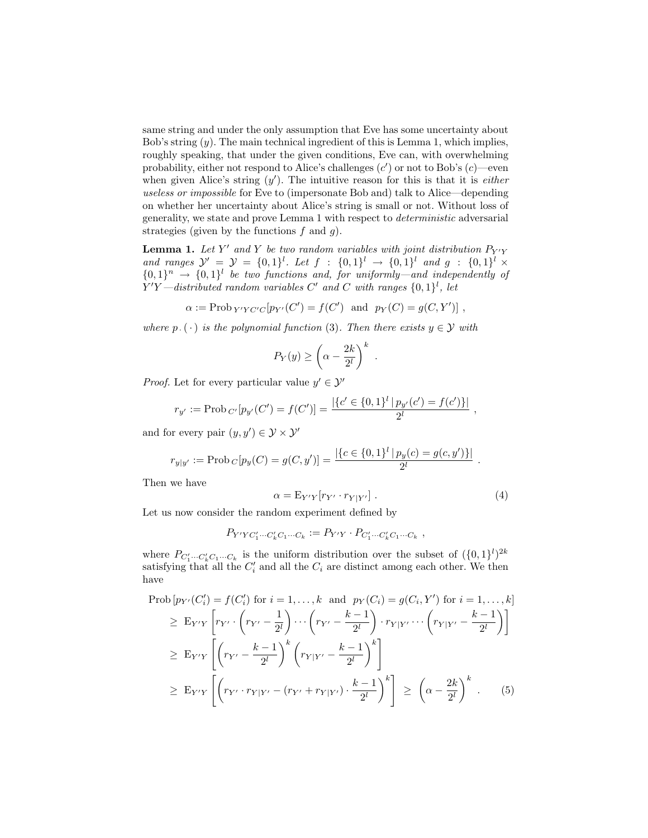same string and under the only assumption that Eve has some uncertainty about Bob's string  $(y)$ . The main technical ingredient of this is Lemma 1, which implies, roughly speaking, that under the given conditions, Eve can, with overwhelming probability, either not respond to Alice's challenges  $(c')$  or not to Bob's  $(c)$ —even when given Alice's string  $(y')$ . The intuitive reason for this is that it is *either* useless or impossible for Eve to (impersonate Bob and) talk to Alice—depending on whether her uncertainty about Alice's string is small or not. Without loss of generality, we state and prove Lemma 1 with respect to deterministic adversarial strategies (given by the functions  $f$  and  $g$ ).

**Lemma 1.** Let Y' and Y be two random variables with joint distribution  $P_{Y|Y}$ and ranges  $\mathcal{Y}' = \mathcal{Y} = \{0,1\}^l$ . Let  $f : \{0,1\}^l \to \{0,1\}^l$  and  $g : \{0,1\}^l \times$  ${0,1}^n \rightarrow {0,1}^l$  be two functions and, for uniformly—and independently of  $Y'Y$ —distributed random variables C' and C with ranges  $\{0,1\}^l$ , let

$$
\alpha := \text{Prob}_{Y'YC'C}[p_{Y'}(C') = f(C') \text{ and } p_Y(C) = g(C, Y')]
$$
,

where  $p_{\cdot}(\cdot)$  is the polynomial function (3). Then there exists  $y \in \mathcal{Y}$  with

$$
P_Y(y) \ge \left(\alpha - \frac{2k}{2^l}\right)^k
$$

*Proof.* Let for every particular value  $y' \in \mathcal{Y}'$ 

$$
r_{y'} := \text{Prob}_{C'}[p_{y'}(C') = f(C')] = \frac{|\{c' \in \{0,1\}^l | p_{y'}(c') = f(c')\}|}{2^l},
$$

and for every pair  $(y, y') \in \mathcal{Y} \times \mathcal{Y}'$ 

$$
r_{y|y'} := \text{Prob}_C[p_y(C) = g(C, y')] = \frac{|\{c \in \{0, 1\}^l | p_y(c) = g(c, y')\}|}{2^l}.
$$

Then we have

$$
\alpha = \mathbf{E}_{Y'Y}[r_{Y'} \cdot r_{Y|Y'}].\tag{4}
$$

.

Let us now consider the random experiment defined by

$$
P_{Y'YC'_1\cdots C'_k C_1\cdots C_k} := P_{Y'Y} \cdot P_{C'_1\cdots C'_k C_1\cdots C_k} ,
$$

where  $P_{C'_1 \cdots C'_k C_1 \cdots C_k}$  is the uniform distribution over the subset of  $({0, 1}^l)^{2k}$ satisfying that all the  $C_i'$  and all the  $C_i$  are distinct among each other. We then have

$$
\text{Prob}\left[p_{Y'}(C_i') = f(C_i') \text{ for } i = 1, ..., k \text{ and } p_Y(C_i) = g(C_i, Y') \text{ for } i = 1, ..., k\right] \\
\geq \mathbb{E}_{Y'Y}\left[r_{Y'} \cdot \left(r_{Y'} - \frac{1}{2^l}\right) \cdots \left(r_{Y'} - \frac{k-1}{2^l}\right) \cdot r_{Y|Y'} \cdots \left(r_{Y|Y'} - \frac{k-1}{2^l}\right)\right] \\
\geq \mathbb{E}_{Y'Y}\left[\left(r_{Y'} - \frac{k-1}{2^l}\right)^k \left(r_{Y|Y'} - \frac{k-1}{2^l}\right)^k\right] \\
\geq \mathbb{E}_{Y'Y}\left[\left(r_{Y'} \cdot r_{Y|Y'} - (r_{Y'} + r_{Y|Y'}) \cdot \frac{k-1}{2^l}\right)^k\right] \geq \left(\alpha - \frac{2k}{2^l}\right)^k. \tag{5}
$$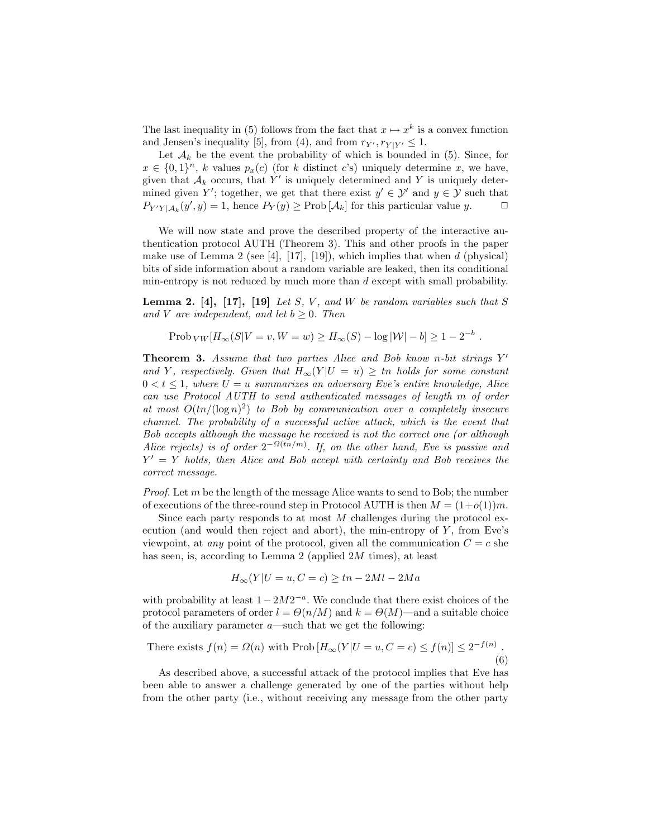The last inequality in (5) follows from the fact that  $x \mapsto x^k$  is a convex function and Jensen's inequality [5], from (4), and from  $r_{Y'}$ ,  $r_{Y|Y'} \leq 1$ .

Let  $\mathcal{A}_k$  be the event the probability of which is bounded in (5). Since, for  $x \in \{0,1\}^n$ , k values  $p_x(c)$  (for k distinct c's) uniquely determine x, we have, given that  $A_k$  occurs, that Y' is uniquely determined and Y is uniquely determined given Y'; together, we get that there exist  $y' \in \mathcal{Y}'$  and  $y \in \mathcal{Y}$  such that  $P_{Y'Y|A_k}(y', y) = 1$ , hence  $P_Y(y) \geq \text{Prob}[\mathcal{A}_k]$  for this particular value y.  $\Box$ 

We will now state and prove the described property of the interactive authentication protocol AUTH (Theorem 3). This and other proofs in the paper make use of Lemma 2 (see [4], [17], [19]), which implies that when d (physical) bits of side information about a random variable are leaked, then its conditional min-entropy is not reduced by much more than d except with small probability.

**Lemma 2.** [4], [17], [19] Let S, V, and W be random variables such that S and V are independent, and let  $b \geq 0$ . Then

Prob 
$$
_{VW}
$$
[ $H_{\infty}(S|V = v, W = w)$ ]  $\geq H_{\infty}(S) - \log |\mathcal{W}| - b$ ]  $\geq 1 - 2^{-b}$ .

**Theorem 3.** Assume that two parties Alice and Bob know n-bit strings  $Y'$ and Y, respectively. Given that  $H_{\infty}(Y | U = u) \geq t$ n holds for some constant  $0 < t \leq 1$ , where  $U = u$  summarizes an adversary Eve's entire knowledge, Alice can use Protocol AUTH to send authenticated messages of length m of order at most  $O(tn/(\log n)^2)$  to Bob by communication over a completely insecure channel. The probability of a successful active attack, which is the event that Bob accepts although the message he received is not the correct one (or although Alice rejects) is of order  $2^{-\Omega(t_n/m)}$ . If, on the other hand, Eve is passive and  $Y' = Y$  holds, then Alice and Bob accept with certainty and Bob receives the correct message.

*Proof.* Let  $m$  be the length of the message Alice wants to send to Bob; the number of executions of the three-round step in Protocol AUTH is then  $M = (1+o(1))m$ .

Since each party responds to at most  $M$  challenges during the protocol execution (and would then reject and abort), the min-entropy of  $Y$ , from Eve's viewpoint, at *any* point of the protocol, given all the communication  $C = c$  she has seen, is, according to Lemma 2 (applied 2M times), at least

$$
H_{\infty}(Y|U=u, C=c) \ge tn - 2Ml - 2Ma
$$

with probability at least  $1 - 2M2^{-a}$ . We conclude that there exist choices of the protocol parameters of order  $l = \Theta(n/M)$  and  $k = \Theta(M)$ —and a suitable choice of the auxiliary parameter  $a$ —such that we get the following:

There exists 
$$
f(n) = \Omega(n)
$$
 with Prob  $[H_{\infty}(Y | U = u, C = c) \le f(n)] \le 2^{-f(n)}$ . (6)

As described above, a successful attack of the protocol implies that Eve has been able to answer a challenge generated by one of the parties without help from the other party (i.e., without receiving any message from the other party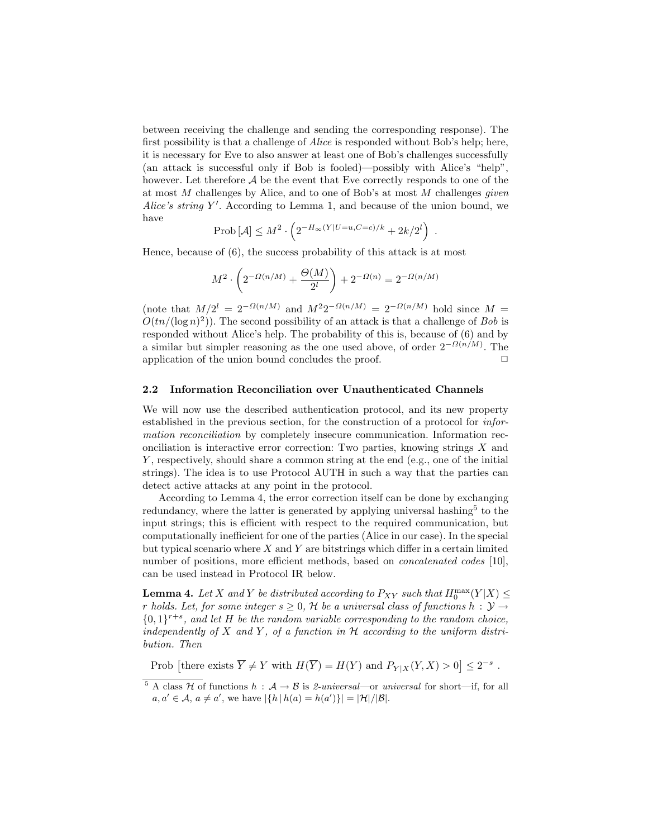between receiving the challenge and sending the corresponding response). The first possibility is that a challenge of Alice is responded without Bob's help; here, it is necessary for Eve to also answer at least one of Bob's challenges successfully (an attack is successful only if Bob is fooled)—possibly with Alice's "help", however. Let therefore  $A$  be the event that Eve correctly responds to one of the at most  $M$  challenges by Alice, and to one of Bob's at most  $M$  challenges *given* Alice's string  $Y'$ . According to Lemma 1, and because of the union bound, we have

$$
\text{Prob}\left[\mathcal{A}\right] \le M^2 \cdot \left(2^{-H_{\infty}(Y|U=u,C=c)/k} + 2k/2^l\right) \ .
$$

Hence, because of (6), the success probability of this attack is at most

$$
M^{2} \cdot \left( 2^{-\Omega(n/M)} + \frac{\Theta(M)}{2^{l}} \right) + 2^{-\Omega(n)} = 2^{-\Omega(n/M)}
$$

(note that  $M/2^l = 2^{-\Omega(n/M)}$  and  $M^2 2^{-\Omega(n/M)} = 2^{-\Omega(n/M)}$  hold since M =  $O(tn/(\log n)^2)$ . The second possibility of an attack is that a challenge of Bob is responded without Alice's help. The probability of this is, because of (6) and by a similar but simpler reasoning as the one used above, of order  $2^{-\Omega(n/M)}$ . The application of the union bound concludes the proof.  $\Box$ 

#### 2.2 Information Reconciliation over Unauthenticated Channels

We will now use the described authentication protocol, and its new property established in the previous section, for the construction of a protocol for information reconciliation by completely insecure communication. Information reconciliation is interactive error correction: Two parties, knowing strings  $X$  and Y , respectively, should share a common string at the end (e.g., one of the initial strings). The idea is to use Protocol AUTH in such a way that the parties can detect active attacks at any point in the protocol.

According to Lemma 4, the error correction itself can be done by exchanging redundancy, where the latter is generated by applying universal hashing<sup>5</sup> to the input strings; this is efficient with respect to the required communication, but computationally inefficient for one of the parties (Alice in our case). In the special but typical scenario where  $X$  and  $Y$  are bitstrings which differ in a certain limited number of positions, more efficient methods, based on *concatenated codes* [10], can be used instead in Protocol IR below.

**Lemma 4.** Let X and Y be distributed according to  $P_{XY}$  such that  $H_0^{\max}(Y|X) \leq$ r holds. Let, for some integer  $s \geq 0$ , H be a universal class of functions  $h : \mathcal{Y} \rightarrow$  ${0,1}^{r+s}$ , and let H be the random variable corresponding to the random choice, independently of X and Y, of a function in  $H$  according to the uniform distribution. Then

Prob [there exists  $\overline{Y} \neq Y$  with  $H(\overline{Y}) = H(Y)$  and  $P_{Y|X}(Y, X) > 0$ ]  $\leq 2^{-s}$ .

<sup>&</sup>lt;sup>5</sup> A class H of functions  $h : \mathcal{A} \to \mathcal{B}$  is 2-universal—or universal for short—if, for all  $a, a' \in \mathcal{A}, a \neq a'$ , we have  $|\{h | h(a) = h(a')\}| = |\mathcal{H}|/|\mathcal{B}|$ .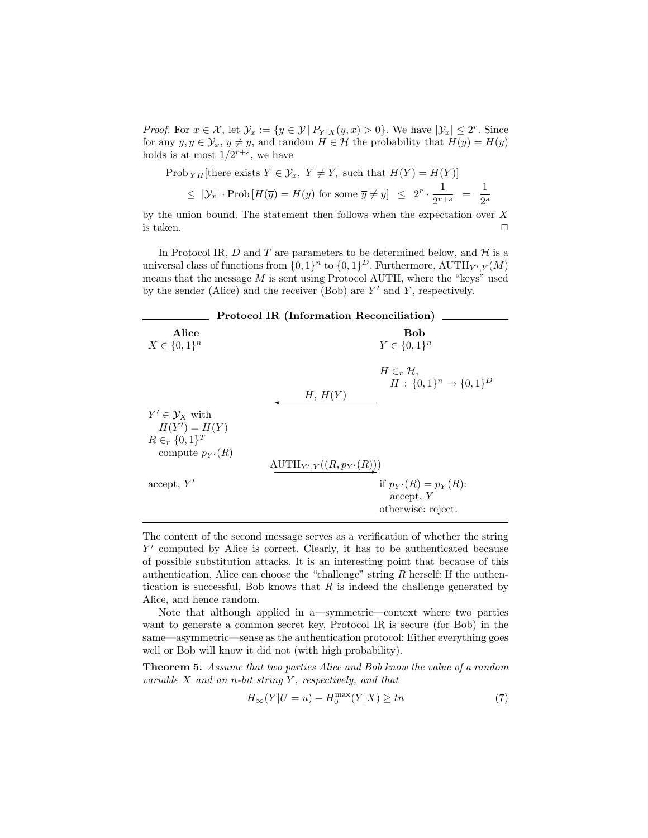*Proof.* For  $x \in \mathcal{X}$ , let  $\mathcal{Y}_x := \{y \in \mathcal{Y} \mid P_{Y|X}(y,x) > 0\}$ . We have  $|\mathcal{Y}_x| \leq 2^r$ . Since for any  $y, \overline{y} \in \mathcal{Y}_x, \overline{y} \neq y$ , and random  $H \in \mathcal{H}$  the probability that  $H(y) = H(\overline{y})$ holds is at most  $1/2^{r+s}$ , we have

$$
\begin{aligned} \text{Prob}_{YH}[\text{there exists } \overline{Y} \in \mathcal{Y}_x, \ \overline{Y} \neq Y, \text{ such that } H(\overline{Y}) = H(Y)] \\ &\leq |\mathcal{Y}_x| \cdot \text{Prob}\left[H(\overline{y}) = H(y) \text{ for some } \overline{y} \neq y\right] \leq 2^r \cdot \frac{1}{2^{r+s}} = \frac{1}{2^s} \end{aligned}
$$

by the union bound. The statement then follows when the expectation over  $X$ is taken.  $\Box$ 

In Protocol IR,  $D$  and  $T$  are parameters to be determined below, and  $H$  is a universal class of functions from  $\{0,1\}^n$  to  $\{0,1\}^D$ . Furthermore,  $\text{AUTH}_{Y',Y}(M)$ means that the message  $M$  is sent using Protocol AUTH, where the "keys" used by the sender (Alice) and the receiver (Bob) are  $Y'$  and  $Y$ , respectively.

| <b>Protocol IR (Information Reconciliation)</b>              |                                                                |
|--------------------------------------------------------------|----------------------------------------------------------------|
| Alice<br>$X \in \{0,1\}^n$                                   | <b>Bob</b><br>$Y \in \{0,1\}^n$                                |
|                                                              | $H\in_r \mathcal{H}$ .<br>$H: \{0,1\}^n \rightarrow \{0,1\}^D$ |
|                                                              | H, H(Y)                                                        |
| $Y' \in \mathcal{Y}_X$ with                                  |                                                                |
| $H(Y') = H(Y)$<br>$R \in_r \{0,1\}^T$<br>compute $p_{Y'}(R)$ |                                                                |
|                                                              | $\text{AUTH}_{Y',Y}((R,p_{Y'}(R)))$                            |
| accept, Y'                                                   | if $p_{Y'}(R) = p_Y(R)$ :<br>accept, Y<br>otherwise: reject.   |

The content of the second message serves as a verification of whether the string Y' computed by Alice is correct. Clearly, it has to be authenticated because of possible substitution attacks. It is an interesting point that because of this authentication, Alice can choose the "challenge" string  $R$  herself: If the authentication is successful, Bob knows that  $R$  is indeed the challenge generated by Alice, and hence random.

Note that although applied in a—symmetric—context where two parties want to generate a common secret key, Protocol IR is secure (for Bob) in the same—asymmetric—sense as the authentication protocol: Either everything goes well or Bob will know it did not (with high probability).

Theorem 5. Assume that two parties Alice and Bob know the value of a random variable  $X$  and an n-bit string  $Y$ , respectively, and that

$$
H_{\infty}(Y|U=u) - H_0^{\max}(Y|X) \ge tn \tag{7}
$$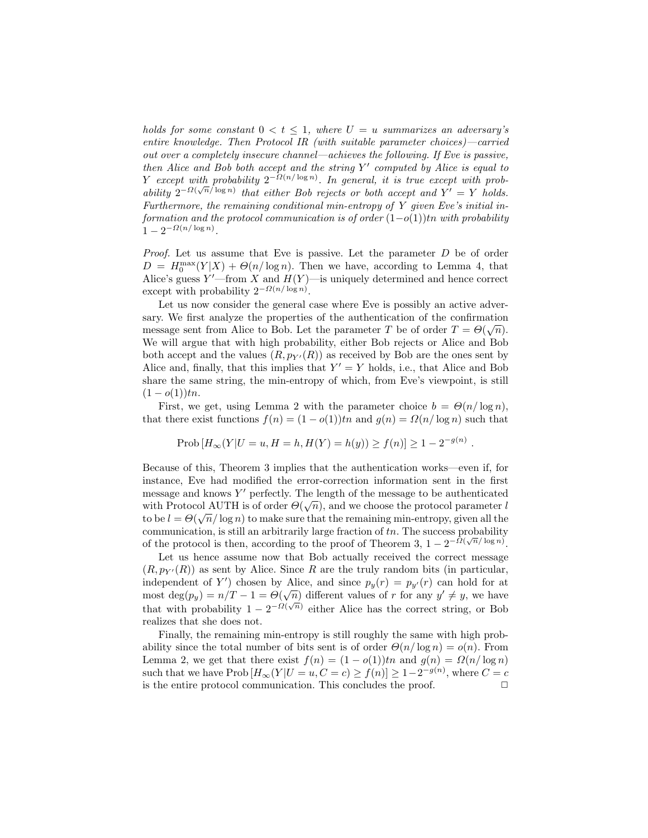holds for some constant  $0 < t \leq 1$ , where  $U = u$  summarizes an adversary's entire knowledge. Then Protocol IR (with suitable parameter choices)—carried out over a completely insecure channel—achieves the following. If Eve is passive, then Alice and Bob both accept and the string  $Y'$  computed by Alice is equal to Y except with probability  $2^{-\Omega(n/\log n)}$ . In general, it is true except with probability  $2^{-\Omega(\sqrt{n}/\log n)}$  that either Bob rejects or both accept and  $Y' = Y$  holds. Furthermore, the remaining conditional min-entropy of Y given Eve's initial information and the protocol communication is of order  $(1-o(1))$ tn with probability  $1 - 2^{-\Omega(n/\log n)}$ .

*Proof.* Let us assume that Eve is passive. Let the parameter  $D$  be of order  $D = H_0^{\max}(Y|X) + \Theta(n/\log n)$ . Then we have, according to Lemma 4, that Alice's guess  $Y'$ —from X and  $H(Y)$ —is uniquely determined and hence correct except with probability  $2^{-\Omega(n/\log n)}$ .

Let us now consider the general case where Eve is possibly an active adversary. We first analyze the properties of the authentication of the confirmation message sent from Alice to Bob. Let the parameter T be of order  $T = \Theta(\sqrt{n})$ . We will argue that with high probability, either Bob rejects or Alice and Bob both accept and the values  $(R, p_{Y'}(R))$  as received by Bob are the ones sent by Alice and, finally, that this implies that  $Y' = Y$  holds, i.e., that Alice and Bob share the same string, the min-entropy of which, from Eve's viewpoint, is still  $(1-o(1))tn.$ 

First, we get, using Lemma 2 with the parameter choice  $b = \Theta(n/\log n)$ , that there exist functions  $f(n) = (1 - o(1))tn$  and  $g(n) = \Omega(n/\log n)$  such that

Prob 
$$
[H_{\infty}(Y|U=u, H=h, H(Y) = h(y)) \ge f(n)] \ge 1 - 2^{-g(n)}
$$
.

Because of this, Theorem 3 implies that the authentication works—even if, for instance, Eve had modified the error-correction information sent in the first message and knows Y' perfectly. The length of the message to be authenticated with Protocol AUTH is of order  $\Theta(\sqrt{n})$ , and we choose the protocol parameter l to be  $l = \Theta(\sqrt{n}/\log n)$  to make sure that the remaining min-entropy, given all the communication, is still an arbitrarily large fraction of  $tn$ . The success probability of the protocol is then, according to the proof of Theorem 3,  $1 - 2^{-\Omega(\sqrt{n}/\log n)}$ .

Let us hence assume now that Bob actually received the correct message  $(R, p_{Y'}(R))$  as sent by Alice. Since R are the truly random bits (in particular, independent of Y') chosen by Alice, and since  $p_y(r) = p_{y'}(r)$  can hold for at most deg( $p_y$ ) =  $n/T - 1 = \Theta(\sqrt{n})$  different values of r for any  $y' \neq y$ , we have that with probability  $1 - 2^{-\Omega(\sqrt{n})}$  either Alice has the correct string, or Bob realizes that she does not.

Finally, the remaining min-entropy is still roughly the same with high probability since the total number of bits sent is of order  $\Theta(n/\log n) = o(n)$ . From Lemma 2, we get that there exist  $f(n) = (1 - o(1))\n{t_n}$  and  $g(n) = \Omega(n/\log n)$ such that we have  $\text{Prob}\left[H_{\infty}(Y|U=u, C=c)\geq f(n)\right] \geq 1-2^{-g(n)}$ , where  $C=c$ is the entire protocol communication. This concludes the proof.  $\Box$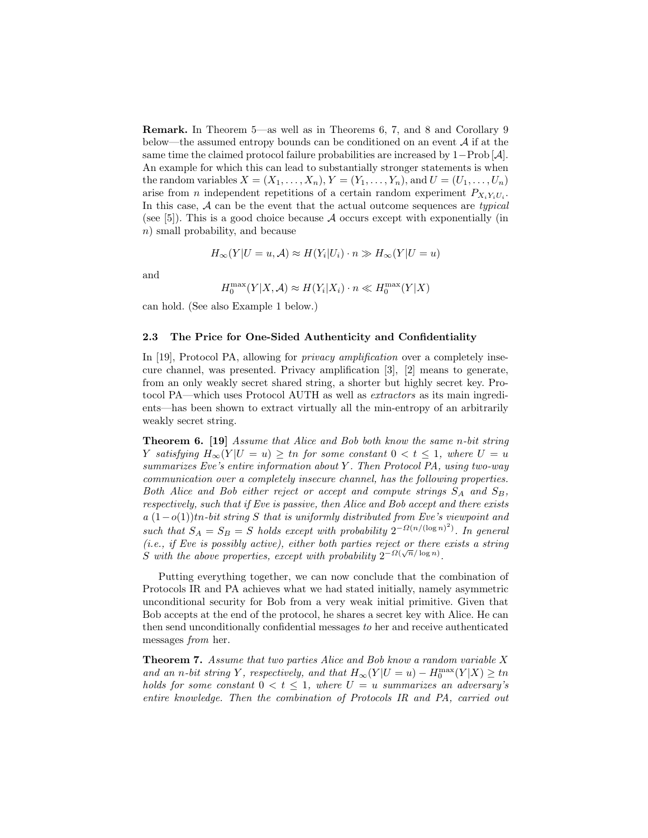Remark. In Theorem 5—as well as in Theorems 6, 7, and 8 and Corollary 9 below—the assumed entropy bounds can be conditioned on an event  $A$  if at the same time the claimed protocol failure probabilities are increased by 1−Prob [A]. An example for which this can lead to substantially stronger statements is when the random variables  $X = (X_1, \ldots, X_n), Y = (Y_1, \ldots, Y_n)$ , and  $U = (U_1, \ldots, U_n)$ arise from *n* independent repetitions of a certain random experiment  $P_{X_i Y_i U_i}$ . In this case,  $A$  can be the event that the actual outcome sequences are typical (see [5]). This is a good choice because A occurs except with exponentially (in n) small probability, and because

$$
H_{\infty}(Y|U=u,\mathcal{A}) \approx H(Y_i|U_i) \cdot n \gg H_{\infty}(Y|U=u)
$$

and

$$
H_0^{\max}(Y|X, A) \approx H(Y_i|X_i) \cdot n \ll H_0^{\max}(Y|X)
$$

can hold. (See also Example 1 below.)

#### 2.3 The Price for One-Sided Authenticity and Confidentiality

In [19], Protocol PA, allowing for *privacy amplification* over a completely insecure channel, was presented. Privacy amplification [3], [2] means to generate, from an only weakly secret shared string, a shorter but highly secret key. Protocol PA—which uses Protocol AUTH as well as extractors as its main ingredients—has been shown to extract virtually all the min-entropy of an arbitrarily weakly secret string.

Theorem 6. [19] Assume that Alice and Bob both know the same n-bit string Y satisfying  $H_{\infty}(Y | U = u) \geq tn$  for some constant  $0 < t \leq 1$ , where  $U = u$ summarizes Eve's entire information about Y. Then Protocol PA, using two-way communication over a completely insecure channel, has the following properties. Both Alice and Bob either reject or accept and compute strings  $S_A$  and  $S_B$ , respectively, such that if Eve is passive, then Alice and Bob accept and there exists  $a(1-o(1))$ tn-bit string S that is uniformly distributed from Eve's viewpoint and such that  $S_A = S_B = S$  holds except with probability  $2^{-\Omega(n/(\log n)^2)}$ . In general (i.e., if Eve is possibly active), either both parties reject or there exists a string S with the above properties, except with probability  $2^{-\Omega(\sqrt{n}/\log n)}$ .

Putting everything together, we can now conclude that the combination of Protocols IR and PA achieves what we had stated initially, namely asymmetric unconditional security for Bob from a very weak initial primitive. Given that Bob accepts at the end of the protocol, he shares a secret key with Alice. He can then send unconditionally confidential messages to her and receive authenticated messages from her.

**Theorem 7.** Assume that two parties Alice and Bob know a random variable  $X$ and an n-bit string Y, respectively, and that  $H_{\infty}(Y|U=u) - H_0^{\max}(Y|X) \geq tn$ holds for some constant  $0 < t \leq 1$ , where  $U = u$  summarizes an adversary's entire knowledge. Then the combination of Protocols IR and PA, carried out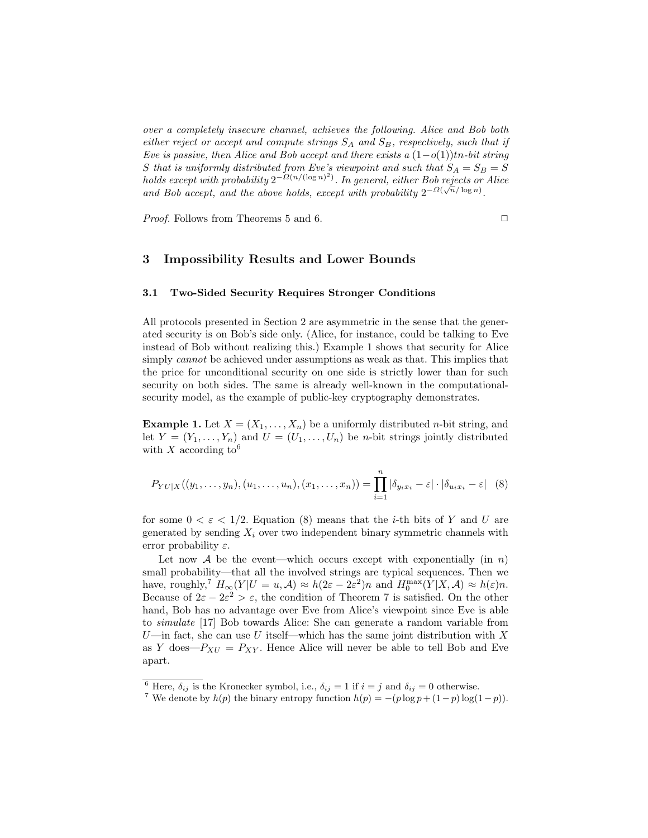over a completely insecure channel, achieves the following. Alice and Bob both either reject or accept and compute strings  $S_A$  and  $S_B$ , respectively, such that if Eve is passive, then Alice and Bob accept and there exists a  $(1-o(1))$ tn-bit string S that is uniformly distributed from Eve's viewpoint and such that  $S_A = S_B = S$ holds except with probability  $2^{-\Omega(n/(\log n)^2)}$ . In general, either Bob rejects or Alice and Bob accept, and the above holds, except with probability  $2^{-\Omega(\sqrt{n}/\log n)}$ .

*Proof.* Follows from Theorems 5 and 6.  $\square$ 

### 3 Impossibility Results and Lower Bounds

#### 3.1 Two-Sided Security Requires Stronger Conditions

All protocols presented in Section 2 are asymmetric in the sense that the generated security is on Bob's side only. (Alice, for instance, could be talking to Eve instead of Bob without realizing this.) Example 1 shows that security for Alice simply *cannot* be achieved under assumptions as weak as that. This implies that the price for unconditional security on one side is strictly lower than for such security on both sides. The same is already well-known in the computationalsecurity model, as the example of public-key cryptography demonstrates.

**Example 1.** Let  $X = (X_1, \ldots, X_n)$  be a uniformly distributed *n*-bit string, and let  $Y = (Y_1, \ldots, Y_n)$  and  $U = (U_1, \ldots, U_n)$  be *n*-bit strings jointly distributed with X according to  $6$ 

$$
P_{YU|X}((y_1,\ldots,y_n),(u_1,\ldots,u_n),(x_1,\ldots,x_n)) = \prod_{i=1}^n |\delta_{y_ix_i} - \varepsilon| \cdot |\delta_{u_ix_i} - \varepsilon| \quad (8)
$$

for some  $0 < \varepsilon < 1/2$ . Equation (8) means that the *i*-th bits of Y and U are generated by sending  $X_i$  over two independent binary symmetric channels with error probability  $\varepsilon$ .

Let now A be the event—which occurs except with exponentially (in  $n$ ) small probability—that all the involved strings are typical sequences. Then we have, roughly,<sup>7</sup>  $H_{\infty}(Y|U=u,\mathcal{A}) \approx h(2\varepsilon - 2\varepsilon^2)n$  and  $H_0^{\max}(Y|X,\mathcal{A}) \approx h(\varepsilon)n$ . Because of  $2\varepsilon - 2\varepsilon^2 > \varepsilon$ , the condition of Theorem 7 is satisfied. On the other hand, Bob has no advantage over Eve from Alice's viewpoint since Eve is able to simulate [17] Bob towards Alice: She can generate a random variable from U—in fact, she can use U itself—which has the same joint distribution with X as Y does— $P_{XU} = P_{XY}$ . Hence Alice will never be able to tell Bob and Eve apart.

<sup>&</sup>lt;sup>6</sup> Here,  $\delta_{ij}$  is the Kronecker symbol, i.e.,  $\delta_{ij} = 1$  if  $i = j$  and  $\delta_{ij} = 0$  otherwise.

<sup>&</sup>lt;sup>7</sup> We denote by  $h(p)$  the binary entropy function  $h(p) = -(p \log p + (1-p) \log(1-p)).$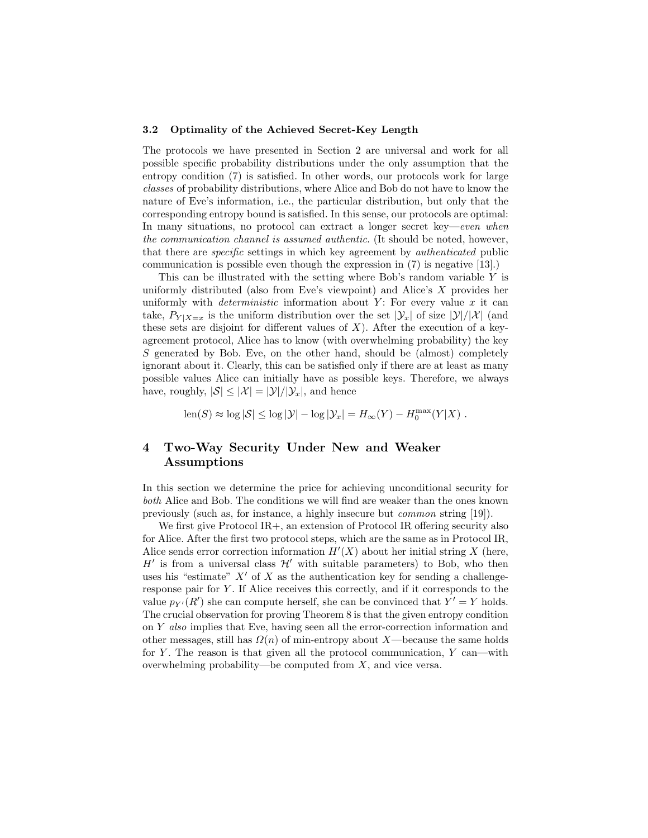#### 3.2 Optimality of the Achieved Secret-Key Length

The protocols we have presented in Section 2 are universal and work for all possible specific probability distributions under the only assumption that the entropy condition (7) is satisfied. In other words, our protocols work for large classes of probability distributions, where Alice and Bob do not have to know the nature of Eve's information, i.e., the particular distribution, but only that the corresponding entropy bound is satisfied. In this sense, our protocols are optimal: In many situations, no protocol can extract a longer secret key—even when the communication channel is assumed authentic. (It should be noted, however, that there are specific settings in which key agreement by authenticated public communication is possible even though the expression in (7) is negative [13].)

This can be illustrated with the setting where Bob's random variable  $Y$  is uniformly distributed (also from Eve's viewpoint) and Alice's X provides her uniformly with *deterministic* information about  $Y$ : For every value  $x$  it can take,  $P_{Y|X=x}$  is the uniform distribution over the set  $|\mathcal{Y}_x|$  of size  $|\mathcal{Y}|/|\mathcal{X}|$  (and these sets are disjoint for different values of  $X$ ). After the execution of a keyagreement protocol, Alice has to know (with overwhelming probability) the key S generated by Bob. Eve, on the other hand, should be (almost) completely ignorant about it. Clearly, this can be satisfied only if there are at least as many possible values Alice can initially have as possible keys. Therefore, we always have, roughly,  $|\mathcal{S}| \leq |\mathcal{X}| = |\mathcal{Y}|/|\mathcal{Y}_x|$ , and hence

 $\text{len}(S) \approx \log |\mathcal{S}| \leq \log |\mathcal{Y}| - \log |\mathcal{Y}_x| = H_{\infty}(Y) - H_0^{\max}(Y|X)$ .

# 4 Two-Way Security Under New and Weaker Assumptions

In this section we determine the price for achieving unconditional security for both Alice and Bob. The conditions we will find are weaker than the ones known previously (such as, for instance, a highly insecure but common string [19]).

We first give Protocol IR<sub>+</sub>, an extension of Protocol IR offering security also for Alice. After the first two protocol steps, which are the same as in Protocol IR, Alice sends error correction information  $H'(X)$  about her initial string X (here,  $H'$  is from a universal class  $\mathcal{H}'$  with suitable parameters) to Bob, who then uses his "estimate"  $X'$  of X as the authentication key for sending a challengeresponse pair for Y . If Alice receives this correctly, and if it corresponds to the value  $p_{Y'}(R')$  she can compute herself, she can be convinced that  $Y' = Y$  holds. The crucial observation for proving Theorem 8 is that the given entropy condition on Y also implies that Eve, having seen all the error-correction information and other messages, still has  $\Omega(n)$  of min-entropy about X—because the same holds for  $Y$ . The reason is that given all the protocol communication,  $Y$  can—with overwhelming probability—be computed from  $X$ , and vice versa.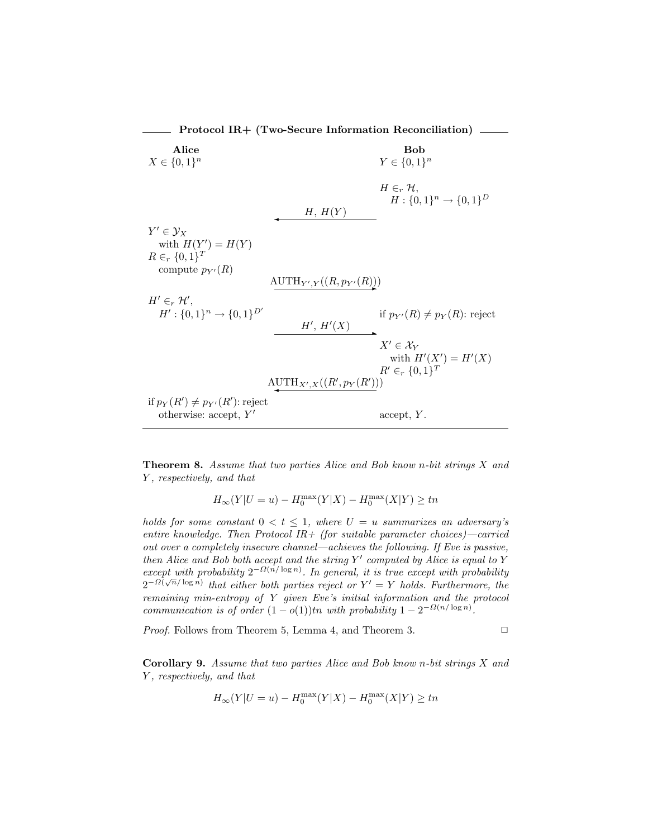Protocol IR+ (Two-Secure Information Reconciliation) Alice Bob  $X \in \{0,1\}^n$ n  $Y \in \{0,1\}^n$  $H \in_r \mathcal{H}$ ,  $H: \{0,1\}^n \to \{0,1\}^D$  $H, H(Y)$  $Y' \in \mathcal{Y}_X$ with  $H(Y') = H(Y)$  $R \in_r \{0,1\}^T$ compute  $p_{Y'}(R)$  $\mathrm{AUTH}_{Y',Y}((R,p_{Y'}(R)))$  $H' \in_r \mathcal{H}',$  $H' : \{0,1\}^n \to \{0,1\}^{D'}$ if  $p_{Y'}(R) \neq p_Y(R)$ : reject  $H', H'(X)$  $X' \in \mathcal{X}_Y$ with  $H'(X') = H'(X)$  $R' \in_r \{0,1\}^T$  $\mathrm{AUTH}_{X',X}((R',p_Y(R')))$ if  $p_Y(R') \neq p_{Y'}(R')$ : reject otherwise: accept,  $Y'$  $accept, Y.$ 

**Theorem 8.** Assume that two parties Alice and Bob know n-bit strings  $X$  and Y , respectively, and that

$$
H_{\infty}(Y|U=u) - H_0^{\max}(Y|X) - H_0^{\max}(X|Y) \ge tn
$$

holds for some constant  $0 < t < 1$ , where  $U = u$  summarizes an adversary's entire knowledge. Then Protocol IR+ (for suitable parameter choices)—carried out over a completely insecure channel—achieves the following. If Eve is passive, then Alice and Bob both accept and the string  $Y'$  computed by Alice is equal to  $Y$ except with probability  $2^{-\Omega(n/\log n)}$ . In general, it is true except with probability  $2^{-\Omega(\sqrt{n}/\log n)}$  that either both parties reject or  $Y' = Y$  holds. Furthermore, the remaining min-entropy of Y given Eve's initial information and the protocol communication is of order  $(1 - o(1))$ tn with probability  $1 - 2^{-\Omega(n/\log n)}$ .

*Proof.* Follows from Theorem 5, Lemma 4, and Theorem 3.  $\Box$ 

Corollary 9. Assume that two parties Alice and Bob know n-bit strings X and Y , respectively, and that

$$
H_{\infty}(Y|U=u) - H_0^{\max}(Y|X) - H_0^{\max}(X|Y) \ge tn
$$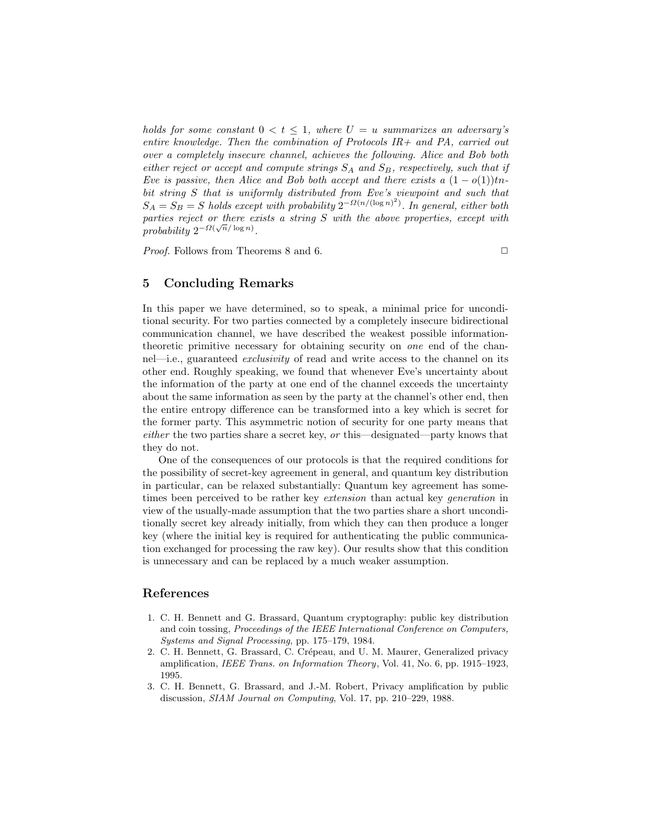holds for some constant  $0 < t \leq 1$ , where  $U = u$  summarizes an adversary's entire knowledge. Then the combination of Protocols  $IR+$  and PA, carried out over a completely insecure channel, achieves the following. Alice and Bob both either reject or accept and compute strings  $S_A$  and  $S_B$ , respectively, such that if Eve is passive, then Alice and Bob both accept and there exists a  $(1 - o(1))$ tnbit string S that is uniformly distributed from Eve's viewpoint and such that  $S_A = S_B = S$  holds except with probability  $2^{-\Omega(n/(\log n)^2)}$ . In general, either both parties reject or there exists a string  $S$  with the above properties, except with probability  $2^{-\Omega(\sqrt{n}/\log n)}$ .

*Proof.* Follows from Theorems 8 and 6.  $\square$ 

# 5 Concluding Remarks

In this paper we have determined, so to speak, a minimal price for unconditional security. For two parties connected by a completely insecure bidirectional communication channel, we have described the weakest possible informationtheoretic primitive necessary for obtaining security on one end of the channel—i.e., guaranteed exclusivity of read and write access to the channel on its other end. Roughly speaking, we found that whenever Eve's uncertainty about the information of the party at one end of the channel exceeds the uncertainty about the same information as seen by the party at the channel's other end, then the entire entropy difference can be transformed into a key which is secret for the former party. This asymmetric notion of security for one party means that either the two parties share a secret key, or this—designated—party knows that they do not.

One of the consequences of our protocols is that the required conditions for the possibility of secret-key agreement in general, and quantum key distribution in particular, can be relaxed substantially: Quantum key agreement has sometimes been perceived to be rather key *extension* than actual key *generation* in view of the usually-made assumption that the two parties share a short unconditionally secret key already initially, from which they can then produce a longer key (where the initial key is required for authenticating the public communication exchanged for processing the raw key). Our results show that this condition is unnecessary and can be replaced by a much weaker assumption.

# References

- 1. C. H. Bennett and G. Brassard, Quantum cryptography: public key distribution and coin tossing, Proceedings of the IEEE International Conference on Computers, Systems and Signal Processing, pp. 175–179, 1984.
- 2. C. H. Bennett, G. Brassard, C. Crépeau, and U. M. Maurer, Generalized privacy amplification, IEEE Trans. on Information Theory, Vol. 41, No. 6, pp. 1915–1923, 1995.
- 3. C. H. Bennett, G. Brassard, and J.-M. Robert, Privacy amplification by public discussion, SIAM Journal on Computing, Vol. 17, pp. 210–229, 1988.